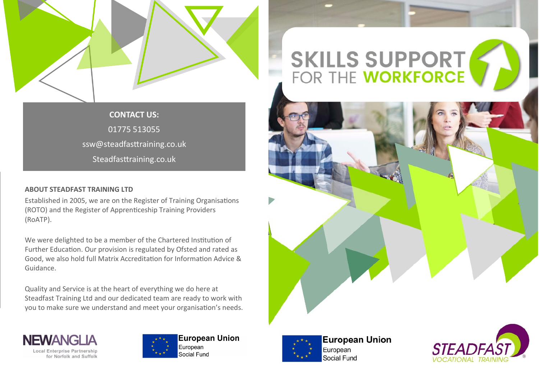

**CONTACT US:** 01775 513055 ssw@steadfasttraining.co.uk Steadfasttraining.co.uk

# **ABOUT STEADFAST TRAINING LTD**

Established in 2005, we are on the Register of Training Organisations (ROTO) and the Register of Apprenticeship Training Providers (RoATP).

We were delighted to be a member of the Chartered Institution of Further Education. Our provision is regulated by Ofsted and rated as Good, we also hold full Matrix Accreditation for Information Advice & Guidance.

Quality and Service is at the heart of everything we do here at Steadfast Training Ltd and our dedicated team are ready to work with you to make sure we understand and meet your organisation's needs.





**European Union** European Social Fund

# **SKILLS SUPPORT**<br>FOR THE **WORKFORCE**





**European Union** European Social Fund